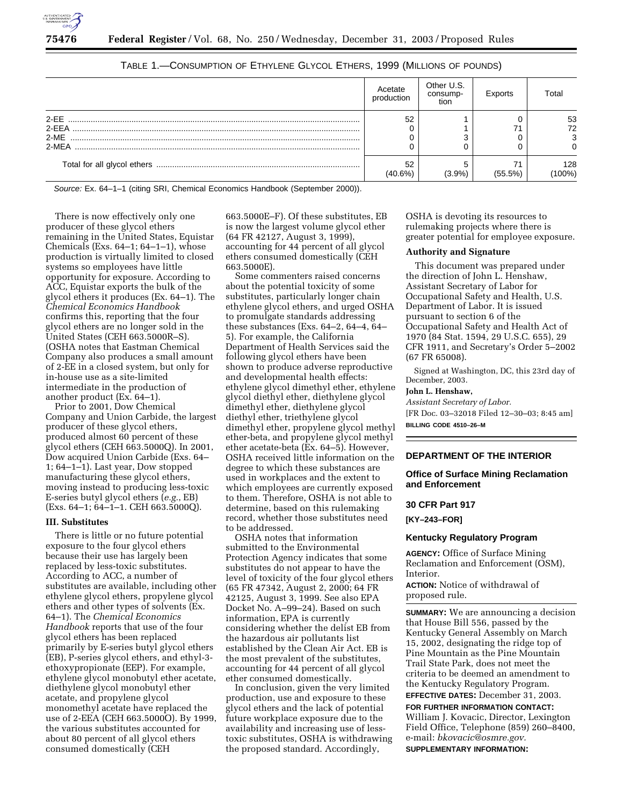

|        | Acetate<br>production | Other U.S.<br>consump-<br>tion | Exports    | Total         |
|--------|-----------------------|--------------------------------|------------|---------------|
| $2-FF$ | 52                    |                                |            | 53            |
| 2-EEA  |                       |                                |            | 72            |
| $2-ME$ |                       |                                |            | 3             |
| 2-MEA  |                       |                                |            | 0             |
|        | 52<br>(40.6%)         | $(3.9\%)$                      | $(55.5\%)$ | 128<br>(100%) |

|  |  |  | TABLE 1.—CONSUMPTION OF ETHYLENE GLYCOL ETHERS, 1999 (MILLIONS OF POUNDS) |
|--|--|--|---------------------------------------------------------------------------|
|--|--|--|---------------------------------------------------------------------------|

Source: Ex. 64–1–1 (citing SRI, Chemical Economics Handbook (September 2000)).

There is now effectively only one producer of these glycol ethers remaining in the United States, Equistar Chemicals (Exs.  $64-1$ ;  $64-1-1$ ), whose production is virtually limited to closed systems so employees have little opportunity for exposure. According to ACC, Equistar exports the bulk of the glycol ethers it produces (Ex. 64–1). The *Chemical Economics Handbook* confirms this, reporting that the four glycol ethers are no longer sold in the United States (CEH 663.5000R–S). (OSHA notes that Eastman Chemical Company also produces a small amount of 2-EE in a closed system, but only for in-house use as a site-limited intermediate in the production of another product (Ex. 64–1).

Prior to 2001, Dow Chemical Company and Union Carbide, the largest producer of these glycol ethers, produced almost 60 percent of these glycol ethers (CEH 663.5000Q). In 2001, Dow acquired Union Carbide (Exs. 64– 1; 64–1–1). Last year, Dow stopped manufacturing these glycol ethers, moving instead to producing less-toxic E-series butyl glycol ethers (*e.g.*, EB) (Exs. 64–1; 64–1–1. CEH 663.5000Q).

#### **III. Substitutes**

There is little or no future potential exposure to the four glycol ethers because their use has largely been replaced by less-toxic substitutes. According to ACC, a number of substitutes are available, including other ethylene glycol ethers, propylene glycol ethers and other types of solvents (Ex. 64–1). The *Chemical Economics Handbook* reports that use of the four glycol ethers has been replaced primarily by E-series butyl glycol ethers (EB), P-series glycol ethers, and ethyl-3 ethoxypropionate (EEP). For example, ethylene glycol monobutyl ether acetate, diethylene glycol monobutyl ether acetate, and propylene glycol monomethyl acetate have replaced the use of 2-EEA (CEH 663.5000O). By 1999, the various substitutes accounted for about 80 percent of all glycol ethers consumed domestically (CEH

663.5000E–F). Of these substitutes, EB is now the largest volume glycol ether (64 FR 42127, August 3, 1999), accounting for 44 percent of all glycol ethers consumed domestically (CEH 663.5000E).

Some commenters raised concerns about the potential toxicity of some substitutes, particularly longer chain ethylene glycol ethers, and urged OSHA to promulgate standards addressing these substances (Exs. 64–2, 64–4, 64– 5). For example, the California Department of Health Services said the following glycol ethers have been shown to produce adverse reproductive and developmental health effects: ethylene glycol dimethyl ether, ethylene glycol diethyl ether, diethylene glycol dimethyl ether, diethylene glycol diethyl ether, triethylene glycol dimethyl ether, propylene glycol methyl ether-beta, and propylene glycol methyl ether acetate-beta (Ex. 64–5). However, OSHA received little information on the degree to which these substances are used in workplaces and the extent to which employees are currently exposed to them. Therefore, OSHA is not able to determine, based on this rulemaking record, whether those substitutes need to be addressed.

OSHA notes that information submitted to the Environmental Protection Agency indicates that some substitutes do not appear to have the level of toxicity of the four glycol ethers (65 FR 47342, August 2, 2000; 64 FR 42125, August 3, 1999. See also EPA Docket No. A–99–24). Based on such information, EPA is currently considering whether the delist EB from the hazardous air pollutants list established by the Clean Air Act. EB is the most prevalent of the substitutes, accounting for 44 percent of all glycol ether consumed domestically.

In conclusion, given the very limited production, use and exposure to these glycol ethers and the lack of potential future workplace exposure due to the availability and increasing use of lesstoxic substitutes, OSHA is withdrawing the proposed standard. Accordingly,

OSHA is devoting its resources to rulemaking projects where there is greater potential for employee exposure.

## **Authority and Signature**

This document was prepared under the direction of John L. Henshaw, Assistant Secretary of Labor for Occupational Safety and Health, U.S. Department of Labor. It is issued pursuant to section 6 of the Occupational Safety and Health Act of 1970 (84 Stat. 1594, 29 U.S.C. 655), 29 CFR 1911, and Secretary's Order 5–2002 (67 FR 65008).

Signed at Washington, DC, this 23rd day of December, 2003.

#### **John L. Henshaw,**

*Assistant Secretary of Labor.* [FR Doc. 03–32018 Filed 12–30–03; 8:45 am] **BILLING CODE 4510–26–M**

#### **DEPARTMENT OF THE INTERIOR**

## **Office of Surface Mining Reclamation and Enforcement**

#### **30 CFR Part 917**

**[KY–243–FOR]** 

### **Kentucky Regulatory Program**

**AGENCY:** Office of Surface Mining Reclamation and Enforcement (OSM), Interior.

**ACTION:** Notice of withdrawal of proposed rule.

**SUMMARY:** We are announcing a decision that House Bill 556, passed by the Kentucky General Assembly on March 15, 2002, designating the ridge top of Pine Mountain as the Pine Mountain Trail State Park, does not meet the criteria to be deemed an amendment to the Kentucky Regulatory Program. **EFFECTIVE DATES:** December 31, 2003. **FOR FURTHER INFORMATION CONTACT:** William J. Kovacic, Director, Lexington Field Office, Telephone (859) 260–8400, e-mail: *bkovacic@osmre.gov.* **SUPPLEMENTARY INFORMATION:**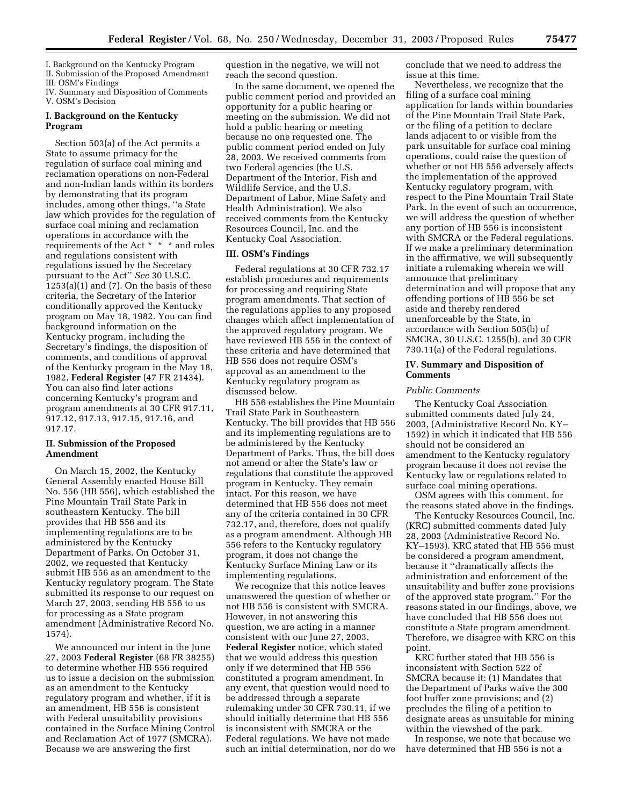I. Background on the Kentucky Program II. Submission of the Proposed Amendment

III. OSM's Findings

IV. Summary and Disposition of Comments V. OSM's Decision

## **I. Background on the Kentucky Program**

Section 503(a) of the Act permits a State to assume primacy for the regulation of surface coal mining and reclamation operations on non-Federal and non-Indian lands within its borders by demonstrating that its program includes, among other things, ''a State law which provides for the regulation of surface coal mining and reclamation operations in accordance with the requirements of the Act \* \* \* and rules and regulations consistent with regulations issued by the Secretary pursuant to the Act'' *See* 30 U.S.C.  $1253(a)(1)$  and  $(7)$ . On the basis of these criteria, the Secretary of the Interior conditionally approved the Kentucky program on May 18, 1982. You can find background information on the Kentucky program, including the Secretary's findings, the disposition of comments, and conditions of approval of the Kentucky program in the May 18, 1982, **Federal Register** (47 FR 21434). You can also find later actions concerning Kentucky's program and program amendments at 30 CFR 917.11, 917.12, 917.13, 917.15, 917.16, and 917.17.

## **II. Submission of the Proposed Amendment**

On March 15, 2002, the Kentucky General Assembly enacted House Bill No. 556 (HB 556), which established the Pine Mountain Trail State Park in southeastern Kentucky. The bill provides that HB 556 and its implementing regulations are to be administered by the Kentucky Department of Parks. On October 31, 2002, we requested that Kentucky submit HB 556 as an amendment to the Kentucky regulatory program. The State submitted its response to our request on March 27, 2003, sending HB 556 to us for processing as a State program amendment (Administrative Record No. 1574).

We announced our intent in the June 27, 2003 **Federal Register** (68 FR 38255) to determine whether HB 556 required us to issue a decision on the submission as an amendment to the Kentucky regulatory program and whether, if it is an amendment, HB 556 is consistent with Federal unsuitability provisions contained in the Surface Mining Control and Reclamation Act of 1977 (SMCRA). Because we are answering the first

question in the negative, we will not reach the second question.

In the same document, we opened the public comment period and provided an opportunity for a public hearing or meeting on the submission. We did not hold a public hearing or meeting because no one requested one. The public comment period ended on July 28, 2003. We received comments from two Federal agencies (the U.S. Department of the Interior, Fish and Wildlife Service, and the U.S. Department of Labor, Mine Safety and Health Administration). We also received comments from the Kentucky Resources Council, Inc. and the Kentucky Coal Association.

#### **III. OSM's Findings**

Federal regulations at 30 CFR 732.17 establish procedures and requirements for processing and requiring State program amendments. That section of the regulations applies to any proposed changes which affect implementation of the approved regulatory program. We have reviewed HB 556 in the context of these criteria and have determined that HB 556 does not require OSM's approval as an amendment to the Kentucky regulatory program as discussed below.

HB 556 establishes the Pine Mountain Trail State Park in Southeastern Kentucky. The bill provides that HB 556 and its implementing regulations are to be administered by the Kentucky Department of Parks. Thus, the bill does not amend or alter the State's law or regulations that constitute the approved program in Kentucky. They remain intact. For this reason, we have determined that HB 556 does not meet any of the criteria contained in 30 CFR 732.17, and, therefore, does not qualify as a program amendment. Although HB 556 refers to the Kentucky regulatory program, it does not change the Kentucky Surface Mining Law or its implementing regulations.

We recognize that this notice leaves unanswered the question of whether or not HB 556 is consistent with SMCRA. However, in not answering this question, we are acting in a manner consistent with our June 27, 2003, **Federal Register** notice, which stated that we would address this question only if we determined that HB 556 constituted a program amendment. In any event, that question would need to be addressed through a separate rulemaking under 30 CFR 730.11, if we should initially determine that HB 556 is inconsistent with SMCRA or the Federal regulations. We have not made such an initial determination, nor do we conclude that we need to address the issue at this time.

Nevertheless, we recognize that the filing of a surface coal mining application for lands within boundaries of the Pine Mountain Trail State Park, or the filing of a petition to declare lands adjacent to or visible from the park unsuitable for surface coal mining operations, could raise the question of whether or not HB 556 adversely affects the implementation of the approved Kentucky regulatory program, with respect to the Pine Mountain Trail State Park. In the event of such an occurrence, we will address the question of whether any portion of HB 556 is inconsistent with SMCRA or the Federal regulations. If we make a preliminary determination in the affirmative, we will subsequently initiate a rulemaking wherein we will announce that preliminary determination and will propose that any offending portions of HB 556 be set aside and thereby rendered unenforceable by the State, in accordance with Section 505(b) of SMCRA, 30 U.S.C. 1255(b), and 30 CFR 730.11(a) of the Federal regulations.

## **IV. Summary and Disposition of Comments**

#### *Public Comments*

The Kentucky Coal Association submitted comments dated July 24, 2003, (Administrative Record No. KY– 1592) in which it indicated that HB 556 should not be considered an amendment to the Kentucky regulatory program because it does not revise the Kentucky law or regulations related to surface coal mining operations.

OSM agrees with this comment, for the reasons stated above in the findings.

The Kentucky Resources Council, Inc. (KRC) submitted comments dated July 28, 2003 (Administrative Record No. KY–1593). KRC stated that HB 556 must be considered a program amendment, because it ''dramatically affects the administration and enforcement of the unsuitability and buffer zone provisions of the approved state program.'' For the reasons stated in our findings, above, we have concluded that HB 556 does not constitute a State program amendment. Therefore, we disagree with KRC on this point.

KRC further stated that HB 556 is inconsistent with Section 522 of SMCRA because it: (1) Mandates that the Department of Parks waive the 300 foot buffer zone provisions; and (2) precludes the filing of a petition to designate areas as unsuitable for mining within the viewshed of the park.

In response, we note that because we have determined that HB 556 is not a